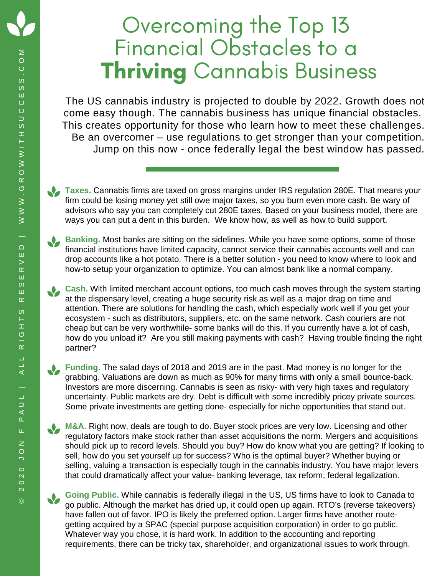## Overcoming the Top 13 Financial Obstacles to a **Thriving Cannabis Business**

The US cannabis industry is projected to double by 2022. Growth does not come easy though. The cannabis business has unique financial obstacles. This creates opportunity for those who learn how to meet these challenges. Be an overcomer – use regulations to get stronger than your competition. Jump on this now - once federally legal the best window has passed.

**Taxes.** Cannabis firms are taxed on gross margins under IRS regulation 280E. That means your firm could be losing money yet still owe major taxes, so you burn even more cash. Be wary of advisors who say you can completely cut 280E taxes. Based on your business model, there are ways you can put a dent in this burden. We know how, as well as how to build support.

**Banking.** Most banks are sitting on the sidelines. While you have some options, some of those financial institutions have limited capacity, cannot service their cannabis accounts well and can drop accounts like a hot potato. There is a better solution - you need to know where to look and how-to setup your organization to optimize. You can almost bank like a normal company.

**Cash.** With limited merchant account options, too much cash moves through the system starting at the dispensary level, creating a huge security risk as well as a major drag on time and attention. There are solutions for handling the cash, which especially work well if you get your ecosystem - such as distributors, suppliers, etc. on the same network. Cash couriers are not cheap but can be very worthwhile- some banks will do this. If you currently have a lot of cash, how do you unload it? Are you still making payments with cash? Having trouble finding the right partner?

**Funding.** The salad days of 2018 and 2019 are in the past. Mad money is no longer for the grabbing. Valuations are down as much as 90% for many firms with only a small bounce-back. Investors are more discerning. Cannabis is seen as risky- with very high taxes and regulatory uncertainty. Public markets are dry. Debt is difficult with some incredibly pricey private sources. Some private investments are getting done- especially for niche opportunities that stand out.

**M&A.** Right now, deals are tough to do. Buyer stock prices are very low. Licensing and other regulatory factors make stock rather than asset acquisitions the norm. Mergers and acquisitions should pick up to record levels. Should you buy? How do know what you are getting? If looking to sell, how do you set yourself up for success? Who is the optimal buyer? Whether buying or selling, valuing a transaction is especially tough in the cannabis industry. You have major levers that could dramatically affect your value- banking leverage, tax reform, federal legalization.

**Going Public.** While cannabis is federally illegal in the US, US firms have to look to Canada to go public. Although the market has dried up, it could open up again. RTO's (reverse takeovers) have fallen out of favor. IPO is likely the preferred option. Larger firms have another routegetting acquired by a SPAC (special purpose acquisition corporation) in order to go public. Whatever way you chose, it is hard work. In addition to the accounting and reporting requirements, there can be tricky tax, shareholder, and organizational issues to work through.